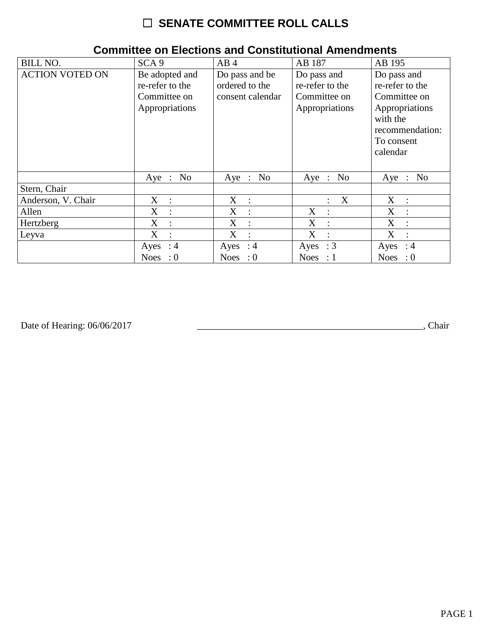# ☐ **SENATE COMMITTEE ROLL CALLS**

| <b>BILL NO.</b>        | SCA <sub>9</sub>                                                    | AB4                                                  | AB 187                                                           | AB 195                                                                                                                    |
|------------------------|---------------------------------------------------------------------|------------------------------------------------------|------------------------------------------------------------------|---------------------------------------------------------------------------------------------------------------------------|
| <b>ACTION VOTED ON</b> | Be adopted and<br>re-refer to the<br>Committee on<br>Appropriations | Do pass and be<br>ordered to the<br>consent calendar | Do pass and<br>re-refer to the<br>Committee on<br>Appropriations | Do pass and<br>re-refer to the<br>Committee on<br>Appropriations<br>with the<br>recommendation:<br>To consent<br>calendar |
|                        | No<br>$Aye$ :                                                       | Aye : No                                             | Aye : No                                                         | No<br>$Aye$ :                                                                                                             |
| Stern, Chair           |                                                                     |                                                      |                                                                  |                                                                                                                           |
| Anderson, V. Chair     | $X_{\mathcal{I}}$<br>$\cdot$ :                                      | $X_{\mathcal{C}}$<br>$\sim$ 1.                       | $\boldsymbol{X}$                                                 | X<br>$\cdot$ :                                                                                                            |
| Allen                  | X<br>$\ddot{\cdot}$                                                 | X<br>$\ddot{\phantom{a}}$                            | X<br>$\cdot$ :                                                   | X<br>$\ddot{\cdot}$                                                                                                       |
| Hertzberg              | X<br>$\ddot{\phantom{a}}$                                           | X<br>$\ddot{\phantom{a}}$                            | X<br>$\cdot$                                                     | X<br>$\ddot{\cdot}$                                                                                                       |
| Leyva                  | X<br>$\ddot{\cdot}$                                                 | X<br>$\ddot{\cdot}$                                  | X                                                                | X<br>$\ddot{\cdot}$                                                                                                       |
|                        | Ayes : $4$                                                          | Ayes : $4$                                           | Ayes : $3$                                                       | Ayes<br>$\therefore$ 4                                                                                                    |
|                        | <b>Noes</b><br>$\cdot 0$                                            | Noes : $0$                                           | Noes : $1$                                                       | <b>Noes</b><br>$\therefore 0$                                                                                             |

### **Committee on Elections and Constitutional Amendments**

Date of Hearing: 06/06/2017

Date of Hearing: 06/06/2017 \_\_\_\_\_\_\_\_\_\_\_\_\_\_\_\_\_\_\_\_\_\_\_\_\_\_\_\_\_\_\_\_\_\_\_\_\_\_\_\_\_\_\_\_\_\_\_, Chair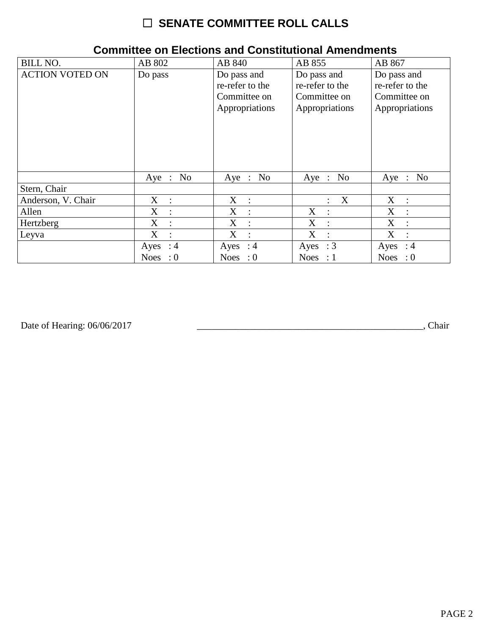# ☐ **SENATE COMMITTEE ROLL CALLS**

| <b>BILL NO.</b>        | AB 802                    | AB 840                                                           | AB 855                                                           | AB 867                                                           |
|------------------------|---------------------------|------------------------------------------------------------------|------------------------------------------------------------------|------------------------------------------------------------------|
| <b>ACTION VOTED ON</b> | Do pass                   | Do pass and<br>re-refer to the<br>Committee on<br>Appropriations | Do pass and<br>re-refer to the<br>Committee on<br>Appropriations | Do pass and<br>re-refer to the<br>Committee on<br>Appropriations |
|                        | Aye : No                  | Aye : No                                                         | Aye : No                                                         | Aye : No                                                         |
| Stern, Chair           |                           |                                                                  |                                                                  |                                                                  |
| Anderson, V. Chair     | $X_{-}$<br>$\cdot$ :      | $X$ :                                                            | X                                                                | $X_{\mathcal{C}}$<br>$\mathbb{R}^n$                              |
| Allen                  | X<br>$\ddot{\phantom{a}}$ | X<br>$\ddot{\phantom{a}}$                                        | X<br>$\cdot$ .                                                   | X<br>$\ddot{\phantom{a}}$                                        |
| Hertzberg              | X<br>$\ddot{\cdot}$       | X<br>$\ddot{\cdot}$                                              | X<br>$\cdot$                                                     | X<br>$\ddot{\cdot}$                                              |
| Leyva                  | X<br>$\ddot{\cdot}$       | X<br>$\ddot{\phantom{a}}$                                        | X                                                                | X<br>$\ddot{\cdot}$                                              |
|                        | $\therefore$ 4<br>Ayes    | Ayes : $4$                                                       | Ayes : $3$                                                       | $\therefore$ 4<br>Ayes                                           |
|                        | <b>Noes</b><br>$\colon 0$ | Noes : $0$                                                       | Noes : $1$                                                       | <b>Noes</b><br>$\cdot 0$                                         |

### **Committee on Elections and Constitutional Amendments**

Date of Hearing: 06/06/2017

Date of Hearing: 06/06/2017 \_\_\_\_\_\_\_\_\_\_\_\_\_\_\_\_\_\_\_\_\_\_\_\_\_\_\_\_\_\_\_\_\_\_\_\_\_\_\_\_\_\_\_\_\_\_\_, Chair